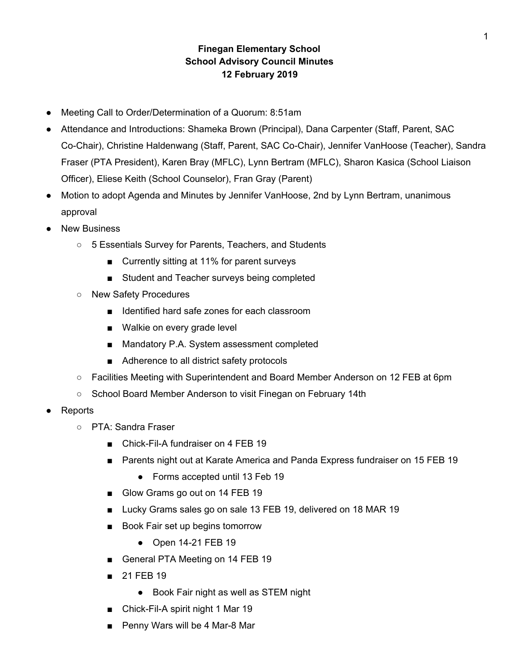## **Finegan Elementary School School Advisory Council Minutes 12 February 2019**

- Meeting Call to Order/Determination of a Quorum: 8:51am
- Attendance and Introductions: Shameka Brown (Principal), Dana Carpenter (Staff, Parent, SAC Co-Chair), Christine Haldenwang (Staff, Parent, SAC Co-Chair), Jennifer VanHoose (Teacher), Sandra Fraser (PTA President), Karen Bray (MFLC), Lynn Bertram (MFLC), Sharon Kasica (School Liaison Officer), Eliese Keith (School Counselor), Fran Gray (Parent)
- Motion to adopt Agenda and Minutes by Jennifer VanHoose, 2nd by Lynn Bertram, unanimous approval
- **New Business** 
	- 5 Essentials Survey for Parents, Teachers, and Students
		- Currently sitting at 11% for parent surveys
		- Student and Teacher surveys being completed
	- New Safety Procedures
		- Identified hard safe zones for each classroom
		- Walkie on every grade level
		- Mandatory P.A. System assessment completed
		- Adherence to all district safety protocols
	- Facilities Meeting with Superintendent and Board Member Anderson on 12 FEB at 6pm
	- School Board Member Anderson to visit Finegan on February 14th
- **Reports** 
	- PTA: Sandra Fraser
		- Chick-Fil-A fundraiser on 4 FEB 19
		- Parents night out at Karate America and Panda Express fundraiser on 15 FEB 19
			- Forms accepted until 13 Feb 19
		- Glow Grams go out on 14 FEB 19
		- Lucky Grams sales go on sale 13 FEB 19, delivered on 18 MAR 19
		- Book Fair set up begins tomorrow
			- Open 14-21 FEB 19
		- General PTA Meeting on 14 FEB 19
		- 21 FEB 19
			- Book Fair night as well as STEM night
		- Chick-Fil-A spirit night 1 Mar 19
		- Penny Wars will be 4 Mar-8 Mar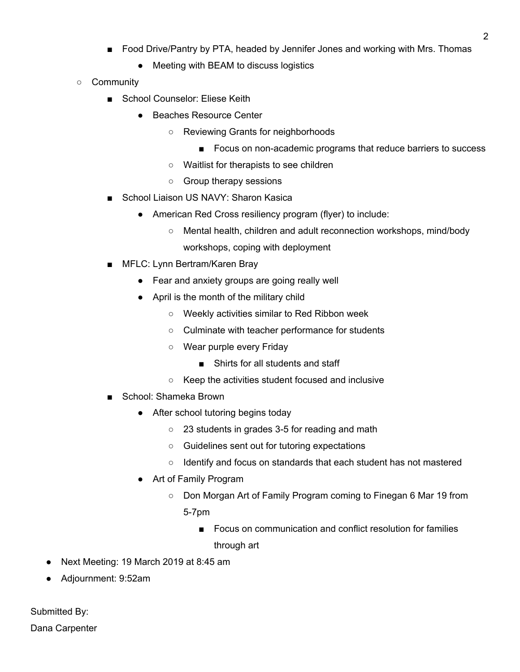- Food Drive/Pantry by PTA, headed by Jennifer Jones and working with Mrs. Thomas
	- Meeting with BEAM to discuss logistics
- Community
	- School Counselor: Eliese Keith
		- Beaches Resource Center
			- Reviewing Grants for neighborhoods
				- Focus on non-academic programs that reduce barriers to success
			- Waitlist for therapists to see children
			- Group therapy sessions
	- School Liaison US NAVY: Sharon Kasica
		- American Red Cross resiliency program (flyer) to include:
			- Mental health, children and adult reconnection workshops, mind/body workshops, coping with deployment
	- MFLC: Lynn Bertram/Karen Bray
		- Fear and anxiety groups are going really well
		- April is the month of the military child
			- Weekly activities similar to Red Ribbon week
			- Culminate with teacher performance for students
			- Wear purple every Friday
				- Shirts for all students and staff
			- Keep the activities student focused and inclusive
	- School: Shameka Brown
		- After school tutoring begins today
			- 23 students in grades 3-5 for reading and math
			- Guidelines sent out for tutoring expectations
			- Identify and focus on standards that each student has not mastered
		- Art of Family Program
			- Don Morgan Art of Family Program coming to Finegan 6 Mar 19 from
				- 5-7pm
					- Focus on communication and conflict resolution for families through art
- Next Meeting: 19 March 2019 at 8:45 am
- Adjournment: 9:52am

Submitted By: Dana Carpenter